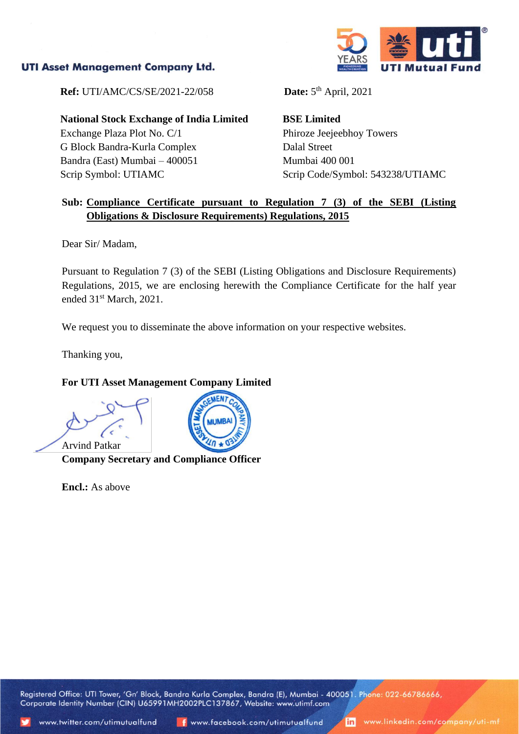## **UTI Asset Management Company Ltd.**



**Ref:** UTI/AMC/CS/SE/2021-22/058

**National Stock Exchange of India Limited** Exchange Plaza Plot No. C/1 G Block Bandra-Kurla Complex Bandra (East) Mumbai – 400051 Scrip Symbol: UTIAMC

Date:  $5<sup>th</sup>$  April, 2021

**BSE Limited** Phiroze Jeejeebhoy Towers Dalal Street Mumbai 400 001 Scrip Code/Symbol: 543238/UTIAMC

## **Sub: Compliance Certificate pursuant to Regulation 7 (3) of the SEBI (Listing Obligations & Disclosure Requirements) Regulations, 2015**

Dear Sir/ Madam,

Pursuant to Regulation 7 (3) of the SEBI (Listing Obligations and Disclosure Requirements) Regulations, 2015, we are enclosing herewith the Compliance Certificate for the half year ended 31<sup>st</sup> March, 2021.

We request you to disseminate the above information on your respective websites.

Thanking you,

## **For UTI Asset Management Company Limited**

Arvind Patkar **Company Secretary and Compliance Officer**

**Encl.:** As above



Registered Office: UTI Tower, 'Gn' Block, Bandra Kurla Complex, Bandra (E), Mumbai - 400051. Phone: 022-66786666, Corporate Identity Number (CIN) U65991MH2002PLC137867, Website: www.utimf.com